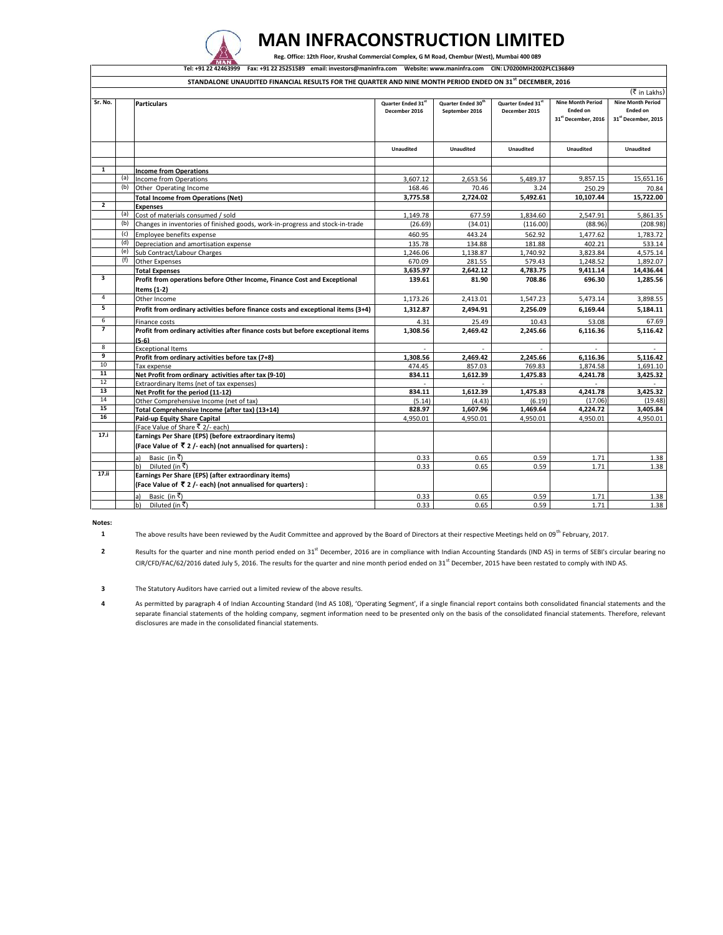

## **MAN INFRACONSTRUCTION LIMITED**

 **Reg. Office: 12th Floor, Krushal Commercial Complex, G M Road, Chembur (West), Mumbai 400 089**

|                |     | Tel: +91 22 42463999 Fax: +91 22 25251589 email: investors@maninfra.com Website: www.maninfra.com CIN: L70200MH2002PLC136849<br>STANDALONE UNAUDITED FINANCIAL RESULTS FOR THE QUARTER AND NINE MONTH PERIOD ENDED ON 31 <sup>st</sup> DECEMBER, 2016 |                                     |                                                  |                                     |                                                                    |                                                                    |
|----------------|-----|-------------------------------------------------------------------------------------------------------------------------------------------------------------------------------------------------------------------------------------------------------|-------------------------------------|--------------------------------------------------|-------------------------------------|--------------------------------------------------------------------|--------------------------------------------------------------------|
|                |     |                                                                                                                                                                                                                                                       |                                     |                                                  |                                     |                                                                    | (₹ in Lakhs)                                                       |
| Sr. No.        |     | <b>Particulars</b>                                                                                                                                                                                                                                    | Quarter Ended 31st<br>December 2016 | Quarter Ended 30 <sup>th</sup><br>September 2016 | Quarter Ended 31st<br>December 2015 | <b>Nine Month Period</b><br><b>Ended on</b><br>31st December, 2016 | <b>Nine Month Period</b><br><b>Ended on</b><br>31st December, 2015 |
|                |     |                                                                                                                                                                                                                                                       | Unaudited                           | Unaudited                                        | Unaudited                           | <b>Unaudited</b>                                                   | Unaudited                                                          |
| 1              |     | <b>Income from Operations</b>                                                                                                                                                                                                                         |                                     |                                                  |                                     |                                                                    |                                                                    |
|                | (a) | Income from Operations                                                                                                                                                                                                                                | 3.607.12                            | 2,653.56                                         | 5,489.37                            | 9,857.15                                                           | 15,651.16                                                          |
|                | (b) | Other Operating Income                                                                                                                                                                                                                                | 168.46                              | 70.46                                            | 3.24                                | 250.29                                                             | 70.84                                                              |
|                |     | <b>Total Income from Operations (Net)</b>                                                                                                                                                                                                             | 3,775.58                            | 2,724.02                                         | 5,492.61                            | 10,107.44                                                          | 15,722.00                                                          |
| $\overline{2}$ |     | <b>Expenses</b>                                                                                                                                                                                                                                       |                                     |                                                  |                                     |                                                                    |                                                                    |
|                | (a) | Cost of materials consumed / sold                                                                                                                                                                                                                     | 1,149.78                            | 677.59                                           | 1,834.60                            | 2,547.91                                                           | 5,861.35                                                           |
|                | (b) | Changes in inventories of finished goods, work-in-progress and stock-in-trade                                                                                                                                                                         | (26.69)                             | (34.01)                                          | (116.00)                            | (88.96)                                                            | (208.98)                                                           |
|                | (c) | Employee benefits expense                                                                                                                                                                                                                             | 460.95                              | 443.24                                           | 562.92                              | 1.477.62                                                           | 1.783.72                                                           |
|                | (d) | Depreciation and amortisation expense                                                                                                                                                                                                                 | 135.78                              | 134.88                                           | 181.88                              | 402.21                                                             | 533.14                                                             |
|                |     | (e) Sub Contract/Labour Charges                                                                                                                                                                                                                       | 1.246.06                            | 1.138.87                                         | 1.740.92                            | 3.823.84                                                           | 4.575.14                                                           |
|                | (f) | <b>Other Expenses</b>                                                                                                                                                                                                                                 | 670.09                              | 281.55                                           | 579.43                              | 1,248.52                                                           | 1,892.07                                                           |
|                |     | <b>Total Expenses</b>                                                                                                                                                                                                                                 | 3,635.97                            | 2,642.12                                         | 4,783.75                            | 9,411.14                                                           | 14,436.44                                                          |
| 3              |     | Profit from operations before Other Income, Finance Cost and Exceptional<br>Items (1-2)                                                                                                                                                               | 139.61                              | 81.90                                            | 708.86                              | 696.30                                                             | 1,285.56                                                           |
| $\overline{4}$ |     | Other Income                                                                                                                                                                                                                                          | 1,173.26                            | 2,413.01                                         | 1,547.23                            | 5,473.14                                                           | 3,898.55                                                           |
| 5              |     | Profit from ordinary activities before finance costs and exceptional items (3+4)                                                                                                                                                                      | 1,312.87                            | 2,494.91                                         | 2,256.09                            | 6,169.44                                                           | 5,184.11                                                           |
| 6              |     | Finance costs                                                                                                                                                                                                                                         | 4.31                                | 25.49                                            | 10.43                               | 53.08                                                              | 67.69                                                              |
| $\overline{7}$ |     | Profit from ordinary activities after finance costs but before exceptional items<br>$(5-6)$                                                                                                                                                           | 1,308.56                            | 2,469.42                                         | 2,245.66                            | 6,116.36                                                           | 5,116.42                                                           |
| 8              |     | <b>Exceptional Items</b>                                                                                                                                                                                                                              |                                     |                                                  |                                     |                                                                    |                                                                    |
| 9              |     | Profit from ordinary activities before tax (7+8)                                                                                                                                                                                                      | 1.308.56                            | 2,469.42                                         | 2.245.66                            | 6,116.36                                                           | 5.116.42                                                           |
| 10             |     | Tax expense                                                                                                                                                                                                                                           | 474.45                              | 857.03                                           | 769.83                              | 1,874.58                                                           | 1,691.10                                                           |
| 11             |     | Net Profit from ordinary activities after tax (9-10)                                                                                                                                                                                                  | 834.11                              | 1,612.39                                         | 1,475.83                            | 4,241.78                                                           | 3,425.32                                                           |
| 12             |     | Extraordinary Items (net of tax expenses)                                                                                                                                                                                                             |                                     |                                                  | in 19                               | a.                                                                 |                                                                    |
| 13             |     | Net Profit for the period (11-12)                                                                                                                                                                                                                     | 834.11                              | 1,612.39                                         | 1,475.83                            | 4,241.78                                                           | 3,425.32                                                           |
| 14             |     | Other Comprehensive Income (net of tax)                                                                                                                                                                                                               | (5.14)                              | (4.43)                                           | (6.19)                              | (17.06)                                                            | (19.48)                                                            |
| 15             |     | Total Comprehensive Income (after tax) (13+14)                                                                                                                                                                                                        | 828.97                              | 1,607.96                                         | 1,469.64                            | 4,224.72                                                           | 3,405.84                                                           |
| 16<br>17.1     |     | Paid-up Equity Share Capital                                                                                                                                                                                                                          | 4,950.01                            | 4,950.01                                         | 4,950.01                            | 4,950.01                                                           | 4,950.01                                                           |
|                |     | (Face Value of Share ₹ 2/- each)<br>Earnings Per Share (EPS) (before extraordinary items)                                                                                                                                                             |                                     |                                                  |                                     |                                                                    |                                                                    |
|                |     | (Face Value of $\bar{z}$ 2 /- each) (not annualised for quarters) :                                                                                                                                                                                   |                                     |                                                  |                                     |                                                                    |                                                                    |
|                |     | Basic (in ₹)<br>a)                                                                                                                                                                                                                                    | 0.33                                | 0.65                                             | 0.59                                | 1.71                                                               | 1.38                                                               |
|                |     | b)<br>Diluted (in ₹)                                                                                                                                                                                                                                  | 0.33                                | 0.65                                             | 0.59                                | 1.71                                                               | 1.38                                                               |
| 17.ii          |     | Earnings Per Share (EPS) (after extraordinary items)<br>(Face Value of $\bar{z}$ 2 /- each) (not annualised for quarters) :                                                                                                                           |                                     |                                                  |                                     |                                                                    |                                                                    |
|                |     |                                                                                                                                                                                                                                                       |                                     |                                                  |                                     |                                                                    |                                                                    |
|                |     | Basic (in $\bar{x}$ )<br>a١                                                                                                                                                                                                                           | 0.33                                | 0.65                                             | 0.59<br>0.59                        | 1.71                                                               | 1.38                                                               |
|                |     | b)<br>Diluted (in ₹)                                                                                                                                                                                                                                  | 0.33                                | 0.65                                             |                                     | 1.71                                                               | 1.38                                                               |

**Notes: 1**

The above results have been reviewed by the Audit Committee and approved by the Board of Directors at their respective Meetings held on 09<sup>th</sup> February, 2017.

**2** Results for the quarter and nine month period ended on 31<sup>st</sup> December, 2016 are in compliance with Indian Accounting Standards (IND AS) in terms of SEBI's circular bearing no CIR/CFD/FAC/62/2016 dated July 5, 2016. The results for the quarter and nine month period ended on 31<sup>st</sup> December, 2015 have been restated to comply with IND AS.

**3** The Statutory Auditors have carried out a limited review of the above results.

**4** As permitted by paragraph 4 of Indian Accounting Standard (Ind AS 108), 'Operating Segment', if a single financial report contains both consolidated financial statements and the separate financial statements of the holding company, segment information need to be presented only on the basis of the consolidated financial statements. Therefore, relevant disclosures are made in the consolidated financial statements.